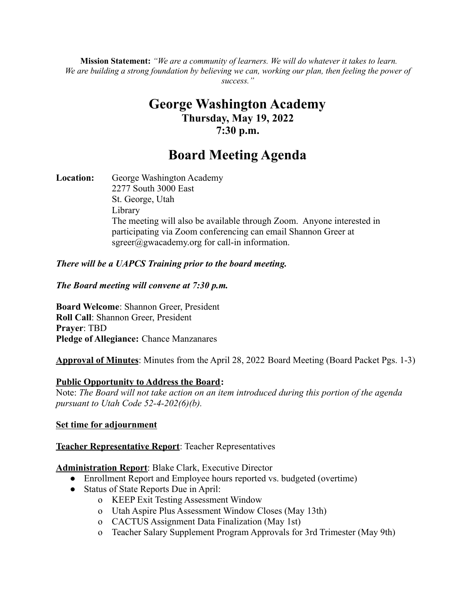**Mission Statement:** *"We are a community of learners. We will do whatever it takes to learn.* We are building a strong foundation by believing we can, working our plan, then feeling the power of *success."*

# **George Washington Academy Thursday, May 19, 2022 7:30 p.m.**

# **Board Meeting Agenda**

**Location:** George Washington Academy 2277 South 3000 East St. George, Utah Library The meeting will also be available through Zoom. Anyone interested in participating via Zoom conferencing can email Shannon Greer at  $sgreen(\hat{a})$ gwacademy.org for call-in information.

## *There will be a UAPCS Training prior to the board meeting.*

### *The Board meeting will convene at 7:30 p.m.*

**Board Welcome**: Shannon Greer, President **Roll Call**: Shannon Greer, President **Prayer**: TBD **Pledge of Allegiance:** Chance Manzanares

**Approval of Minutes**: Minutes from the April 28, 2022 Board Meeting (Board Packet Pgs. 1-3)

### **Public Opportunity to Address the Board:**

Note: *The Board will not take action on an item introduced during this portion of the agenda pursuant to Utah Code 52-4-202(6)(b).*

### **Set time for adjournment**

# **Teacher Representative Report**: Teacher Representatives

# **Administration Report**: Blake Clark, Executive Director

- Enrollment Report and Employee hours reported vs. budgeted (overtime)
- Status of State Reports Due in April:
	- o KEEP Exit Testing Assessment Window
	- o Utah Aspire Plus Assessment Window Closes (May 13th)
	- o CACTUS Assignment Data Finalization (May 1st)
	- o Teacher Salary Supplement Program Approvals for 3rd Trimester (May 9th)